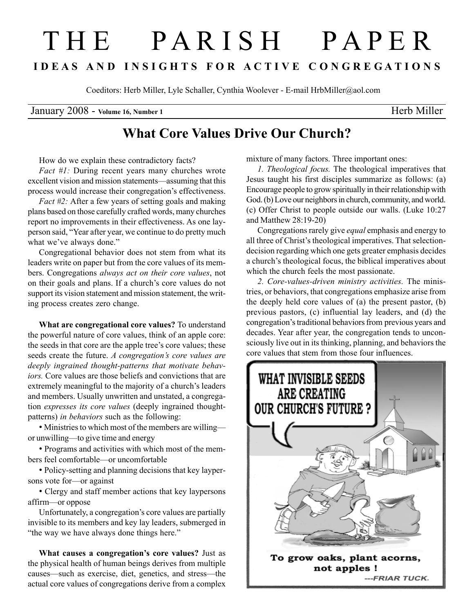## T H E P A R I S H P A P E R I D E A S A N D I N S I G H T S F O R A C T I V E C O N G R E G A T I O N S

Coeditors: Herb Miller, Lyle Schaller, Cynthia Woolever - E-mail HrbMiller@aol.com

January 2008 - Volume 16, Number 1 Herb Miller

## What Core Values Drive Our Church?

How do we explain these contradictory facts?

Fact #1: During recent years many churches wrote excellent vision and mission statements—assuming that this process would increase their congregation's effectiveness.

Fact #2: After a few years of setting goals and making plans based on those carefully crafted words, many churches report no improvements in their effectiveness. As one layperson said, "Year after year, we continue to do pretty much what we've always done."

Congregational behavior does not stem from what its leaders write on paper but from the core values of its members. Congregations always act on their core values, not on their goals and plans. If a church's core values do not support its vision statement and mission statement, the writing process creates zero change.

What are congregational core values? To understand the powerful nature of core values, think of an apple core: the seeds in that core are the apple tree's core values; these seeds create the future. A congregation's core values are deeply ingrained thought-patterns that motivate behaviors. Core values are those beliefs and convictions that are extremely meaningful to the majority of a church's leaders and members. Usually unwritten and unstated, a congregation expresses its core values (deeply ingrained thoughtpatterns) in behaviors such as the following:

• Ministries to which most of the members are willing or unwilling—to give time and energy

• Programs and activities with which most of the members feel comfortable—or uncomfortable

• Policy-setting and planning decisions that key laypersons vote for—or against

• Clergy and staff member actions that key laypersons affirm—or oppose

Unfortunately, a congregation's core values are partially invisible to its members and key lay leaders, submerged in "the way we have always done things here."

What causes a congregation's core values? Just as the physical health of human beings derives from multiple causes—such as exercise, diet, genetics, and stress—the actual core values of congregations derive from a complex mixture of many factors. Three important ones:

1. Theological focus. The theological imperatives that Jesus taught his first disciples summarize as follows: (a) Encourage people to grow spiritually in their relationship with God. (b) Love our neighbors in church, community, and world. (c) Offer Christ to people outside our walls. (Luke 10:27 and Matthew 28:19-20)

Congregations rarely give equal emphasis and energy to all three of Christ's theological imperatives. That selectiondecision regarding which one gets greater emphasis decides a church's theological focus, the biblical imperatives about which the church feels the most passionate.

2. Core-values-driven ministry activities. The ministries, or behaviors, that congregations emphasize arise from the deeply held core values of (a) the present pastor, (b) previous pastors, (c) influential lay leaders, and (d) the congregation's traditional behaviors from previous years and decades. Year after year, the congregation tends to unconsciously live out in its thinking, planning, and behaviors the core values that stem from those four influences.